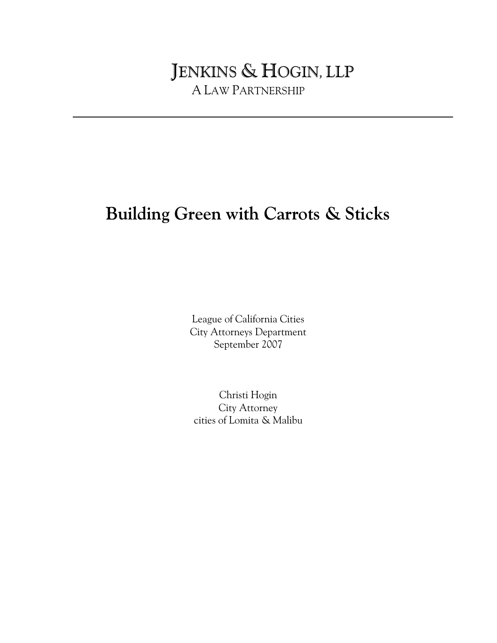## JENKINS & HOGIN, LLP A LAW PARTNERSHIP

# **Building Green with Carrots & Sticks**

League of California Cities City Attorneys Department September 2007

Christi Hogin City Attorney cities of Lomita & Malibu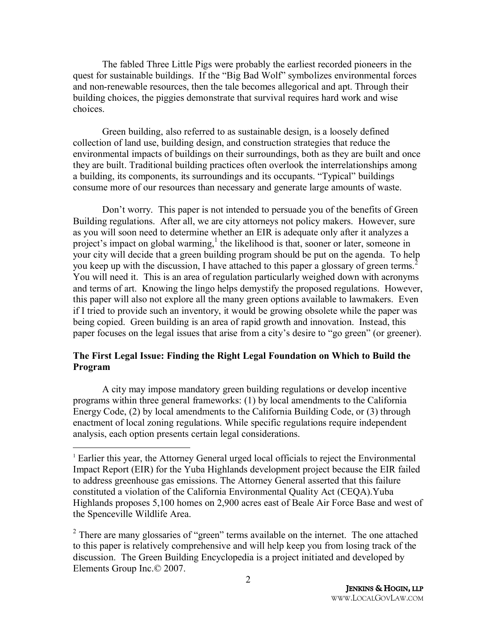The fabled Three Little Pigs were probably the earliest recorded pioneers in the quest for sustainable buildings. If the "Big Bad Wolf" symbolizes environmental forces and non-renewable resources, then the tale becomes allegorical and apt. Through their building choices, the piggies demonstrate that survival requires hard work and wise choices.

Green building, also referred to as sustainable design, is a loosely defined collection of land use, building design, and construction strategies that reduce the environmental impacts of buildings on their surroundings, both as they are built and once they are built. Traditional building practices often overlook the interrelationships among a building, its components, its surroundings and its occupants. "Typical" buildings consume more of our resources than necessary and generate large amounts of waste.

Don't worry. This paper is not intended to persuade you of the benefits of Green Building regulations. After all, we are city attorneys not policy makers. However, sure as you will soon need to determine whether an EIR is adequate only after it analyzes a project's impact on global warming,<sup>1</sup> the likelihood is that, sooner or later, someone in your city will decide that a green building program should be put on the agenda. To help you keep up with the discussion, I have attached to this paper a glossary of green terms.<sup>2</sup> You will need it. This is an area of regulation particularly weighed down with acronyms and terms of art. Knowing the lingo helps demystify the proposed regulations. However, this paper will also not explore all the many green options available to lawmakers. Even if I tried to provide such an inventory, it would be growing obsolete while the paper was being copied. Green building is an area of rapid growth and innovation. Instead, this paper focuses on the legal issues that arise from a city's desire to "go green" (or greener).

#### **The First Legal Issue: Finding the Right Legal Foundation on Which to Build the Program**

A city may impose mandatory green building regulations or develop incentive programs within three general frameworks: (1) by local amendments to the California Energy Code, (2) by local amendments to the California Building Code, or (3) through enactment of local zoning regulations. While specific regulations require independent analysis, each option presents certain legal considerations.

<sup>&</sup>lt;sup>1</sup> Earlier this year, the Attorney General urged local officials to reject the Environmental Impact Report (EIR) for the Yuba Highlands development project because the EIR failed to address greenhouse gas emissions. The Attorney General asserted that this failure constituted a violation of the California Environmental Quality Act (CEQA).Yuba Highlands proposes 5,100 homes on 2,900 acres east of Beale Air Force Base and west of the Spenceville Wildlife Area.

 $2$  There are many glossaries of "green" terms available on the internet. The one attached to this paper is relatively comprehensive and will help keep you from losing track of the discussion. The Green Building Encyclopedia is a project initiated and developed by Elements Group Inc.© 2007.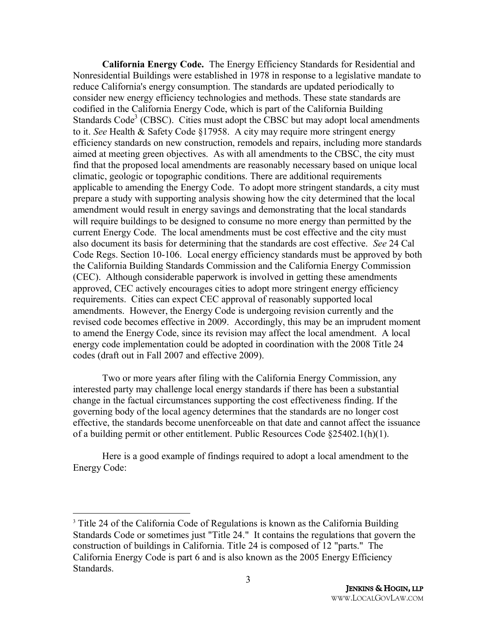**California Energy Code.** The Energy Efficiency Standards for Residential and Nonresidential Buildings were established in 1978 in response to a legislative mandate to reduce California's energy consumption. The standards are updated periodically to consider new energy efficiency technologies and methods. These state standards are codified in the California Energy Code, which is part of the California Building Standards Code<sup>3</sup> (CBSC). Cities must adopt the CBSC but may adopt local amendments to it. *See* Health & Safety Code §17958. A city may require more stringent energy efficiency standards on new construction, remodels and repairs, including more standards aimed at meeting green objectives. As with all amendments to the CBSC, the city must find that the proposed local amendments are reasonably necessary based on unique local climatic, geologic or topographic conditions. There are additional requirements applicable to amending the Energy Code. To adopt more stringent standards, a city must prepare a study with supporting analysis showing how the city determined that the local amendment would result in energy savings and demonstrating that the local standards will require buildings to be designed to consume no more energy than permitted by the current Energy Code. The local amendments must be cost effective and the city must also document its basis for determining that the standards are cost effective. *See* 24 Cal Code Regs. Section 10-106. Local energy efficiency standards must be approved by both the California Building Standards Commission and the California Energy Commission (CEC). Although considerable paperwork is involved in getting these amendments approved, CEC actively encourages cities to adopt more stringent energy efficiency requirements. Cities can expect CEC approval of reasonably supported local amendments. However, the Energy Code is undergoing revision currently and the revised code becomes effective in 2009. Accordingly, this may be an imprudent moment to amend the Energy Code, since its revision may affect the local amendment. A local energy code implementation could be adopted in coordination with the 2008 Title 24 codes (draft out in Fall 2007 and effective 2009).

Two or more years after filing with the California Energy Commission, any interested party may challenge local energy standards if there has been a substantial change in the factual circumstances supporting the cost effectiveness finding. If the governing body of the local agency determines that the standards are no longer cost effective, the standards become unenforceable on that date and cannot affect the issuance of a building permit or other entitlement. Public Resources Code §25402.1(h)(1).

Here is a good example of findings required to adopt a local amendment to the Energy Code:

<sup>&</sup>lt;sup>3</sup> Title 24 of the California Code of Regulations is known as the California Building Standards Code or sometimes just "Title 24." It contains the regulations that govern the construction of buildings in California. Title 24 is composed of 12 "parts." The California Energy Code is part 6 and is also known as the 2005 Energy Efficiency Standards.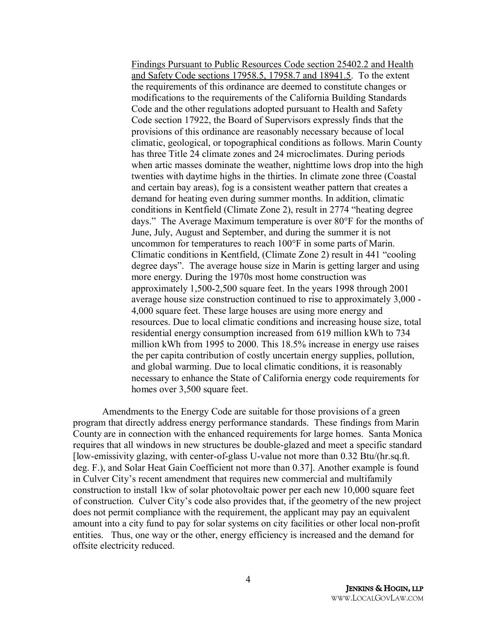Findings Pursuant to Public Resources Code section 25402.2 and Health and Safety Code sections 17958.5, 17958.7 and 18941.5. To the extent the requirements of this ordinance are deemed to constitute changes or modifications to the requirements of the California Building Standards Code and the other regulations adopted pursuant to Health and Safety Code section 17922, the Board of Supervisors expressly finds that the provisions of this ordinance are reasonably necessary because of local climatic, geological, or topographical conditions as follows. Marin County has three Title 24 climate zones and 24 microclimates. During periods when artic masses dominate the weather, nighttime lows drop into the high twenties with daytime highs in the thirties. In climate zone three (Coastal and certain bay areas), fog is a consistent weather pattern that creates a demand for heating even during summer months. In addition, climatic conditions in Kentfield (Climate Zone 2), result in 2774 "heating degree days." The Average Maximum temperature is over 80°F for the months of June, July, August and September, and during the summer it is not uncommon for temperatures to reach 100°F in some parts of Marin. Climatic conditions in Kentfield, (Climate Zone 2) result in 441 "cooling degree days". The average house size in Marin is getting larger and using more energy. During the 1970s most home construction was approximately 1,500-2,500 square feet. In the years 1998 through 2001 average house size construction continued to rise to approximately 3,000 - 4,000 square feet. These large houses are using more energy and resources. Due to local climatic conditions and increasing house size, total residential energy consumption increased from 619 million kWh to 734 million kWh from 1995 to 2000. This 18.5% increase in energy use raises the per capita contribution of costly uncertain energy supplies, pollution, and global warming. Due to local climatic conditions, it is reasonably necessary to enhance the State of California energy code requirements for homes over 3,500 square feet.

Amendments to the Energy Code are suitable for those provisions of a green program that directly address energy performance standards. These findings from Marin County are in connection with the enhanced requirements for large homes. Santa Monica requires that all windows in new structures be double-glazed and meet a specific standard [low-emissivity glazing, with center-of-glass U-value not more than 0.32 Btu/(hr.sq.ft. deg. F.), and Solar Heat Gain Coefficient not more than 0.37]. Another example is found in Culver City's recent amendment that requires new commercial and multifamily construction to install 1kw of solar photovoltaic power per each new 10,000 square feet of construction. Culver City's code also provides that, if the geometry of the new project does not permit compliance with the requirement, the applicant may pay an equivalent amount into a city fund to pay for solar systems on city facilities or other local non-profit entities. Thus, one way or the other, energy efficiency is increased and the demand for offsite electricity reduced.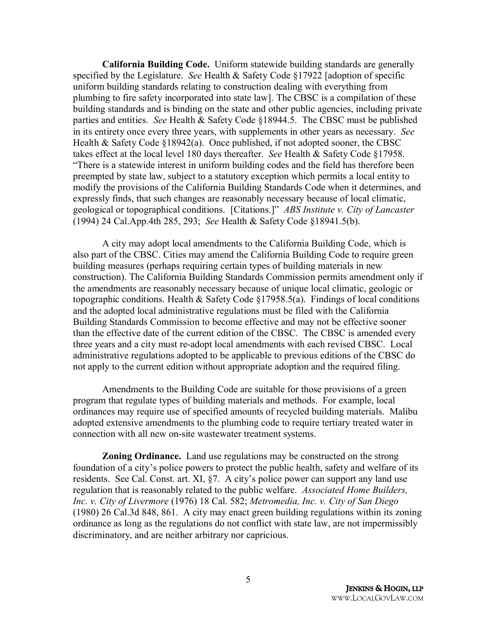**California Building Code.** Uniform statewide building standards are generally specified by the Legislature. *See* Health & Safety Code §17922 [adoption of specific uniform building standards relating to construction dealing with everything from plumbing to fire safety incorporated into state law]. The CBSC is a compilation of these building standards and is binding on the state and other public agencies, including private parties and entities. *See* Health & Safety Code §18944.5. The CBSC must be published in its entirety once every three years, with supplements in other years as necessary. *See* Health & Safety Code §18942(a). Once published, if not adopted sooner, the CBSC takes effect at the local level 180 days thereafter. *See* Health & Safety Code §17958. "There is a statewide interest in uniform building codes and the field has therefore been preempted by state law, subject to a statutory exception which permits a local entity to modify the provisions of the California Building Standards Code when it determines, and expressly finds, that such changes are reasonably necessary because of local climatic, geological or topographical conditions. [Citations.]" *ABS Institute v. City of Lancaster* (1994) 24 Cal.App.4th 285, 293; *See* Health & Safety Code §18941.5(b).

A city may adopt local amendments to the California Building Code, which is also part of the CBSC. Cities may amend the California Building Code to require green building measures (perhaps requiring certain types of building materials in new construction). The California Building Standards Commission permits amendment only if the amendments are reasonably necessary because of unique local climatic, geologic or topographic conditions. Health & Safety Code §17958.5(a). Findings of local conditions and the adopted local administrative regulations must be filed with the California Building Standards Commission to become effective and may not be effective sooner than the effective date of the current edition of the CBSC. The CBSC is amended every three years and a city must re-adopt local amendments with each revised CBSC. Local administrative regulations adopted to be applicable to previous editions of the CBSC do not apply to the current edition without appropriate adoption and the required filing.

Amendments to the Building Code are suitable for those provisions of a green program that regulate types of building materials and methods. For example, local ordinances may require use of specified amounts of recycled building materials. Malibu adopted extensive amendments to the plumbing code to require tertiary treated water in connection with all new on-site wastewater treatment systems.

**Zoning Ordinance.** Land use regulations may be constructed on the strong foundation of a city's police powers to protect the public health, safety and welfare of its residents. See Cal. Const. art. XI, §7. A city's police power can support any land use regulation that is reasonably related to the public welfare. *Associated Home Builders, Inc. v. City of Livermore* (1976) 18 Cal. 582; *Metromedia, Inc. v. City of San Diego* (1980) 26 Cal.3d 848, 861. A city may enact green building regulations within its zoning ordinance as long as the regulations do not conflict with state law, are not impermissibly discriminatory, and are neither arbitrary nor capricious.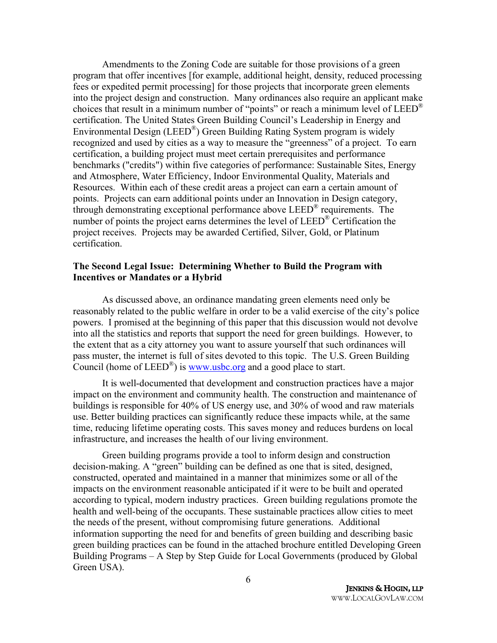Amendments to the Zoning Code are suitable for those provisions of a green program that offer incentives [for example, additional height, density, reduced processing fees or expedited permit processing] for those projects that incorporate green elements into the project design and construction. Many ordinances also require an applicant make choices that result in a minimum number of "points" or reach a minimum level of  $LEED^{\circledR}$ certification. The United States Green Building Council's Leadership in Energy and Environmental Design (LEED®) Green Building Rating System program is widely recognized and used by cities as a way to measure the "greenness" of a project. To earn certification, a building project must meet certain prerequisites and performance benchmarks ("credits") within five categories of performance: Sustainable Sites, Energy and Atmosphere, Water Efficiency, Indoor Environmental Quality, Materials and Resources. Within each of these credit areas a project can earn a certain amount of points. Projects can earn additional points under an Innovation in Design category, through demonstrating exceptional performance above LEED® requirements. The number of points the project earns determines the level of LEED<sup>®</sup> Certification the project receives. Projects may be awarded Certified, Silver, Gold, or Platinum certification.

#### **The Second Legal Issue: Determining Whether to Build the Program with Incentives or Mandates or a Hybrid**

As discussed above, an ordinance mandating green elements need only be reasonably related to the public welfare in order to be a valid exercise of the city's police powers. I promised at the beginning of this paper that this discussion would not devolve into all the statistics and reports that support the need for green buildings. However, to the extent that as a city attorney you want to assure yourself that such ordinances will pass muster, the internet is full of sites devoted to this topic. The U.S. Green Building Council(home of  $LEED^{\circledast}$ ) is <u><www.usbc.org></u> and a good place to start.

It is well-documented that development and construction practices have a major impact on the environment and community health. The construction and maintenance of buildings is responsible for 40% of US energy use, and 30% of wood and raw materials use. Better building practices can significantly reduce these impacts while, at the same time, reducing lifetime operating costs. This saves money and reduces burdens on local infrastructure, and increases the health of our living environment.

Green building programs provide a tool to inform design and construction decision-making. A "green" building can be defined as one that is sited, designed, constructed, operated and maintained in a manner that minimizes some or all of the impacts on the environment reasonable anticipated if it were to be built and operated according to typical, modern industry practices. Green building regulations promote the health and well-being of the occupants. These sustainable practices allow cities to meet the needs of the present, without compromising future generations. Additional information supporting the need for and benefits of green building and describing basic green building practices can be found in the attached brochure entitled Developing Green Building Programs – A Step by Step Guide for Local Governments (produced by Global Green USA).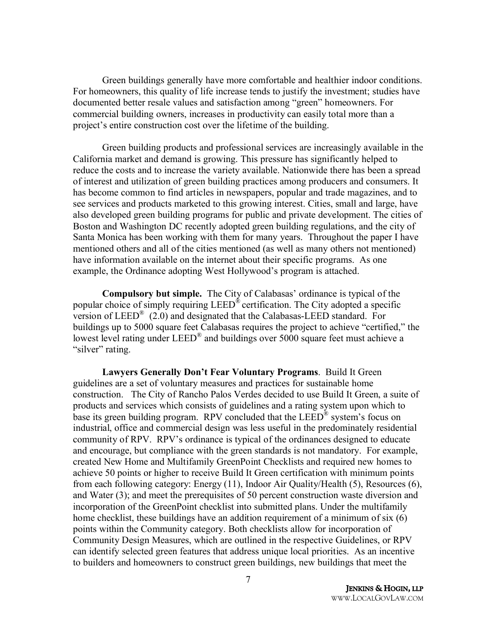Green buildings generally have more comfortable and healthier indoor conditions. For homeowners, this quality of life increase tends to justify the investment; studies have documented better resale values and satisfaction among "green" homeowners. For commercial building owners, increases in productivity can easily total more than a project's entire construction cost over the lifetime of the building.

Green building products and professional services are increasingly available in the California market and demand is growing. This pressure has significantly helped to reduce the costs and to increase the variety available. Nationwide there has been a spread of interest and utilization of green building practices among producers and consumers. It has become common to find articles in newspapers, popular and trade magazines, and to see services and products marketed to this growing interest. Cities, small and large, have also developed green building programs for public and private development. The cities of Boston and Washington DC recently adopted green building regulations, and the city of Santa Monica has been working with them for many years. Throughout the paper I have mentioned others and all of the cities mentioned (as well as many others not mentioned) have information available on the internet about their specific programs. As one example, the Ordinance adopting West Hollywood's program is attached.

**Compulsory but simple.** The City of Calabasas' ordinance is typical of the popular choice of simply requiring LEED® certification. The City adopted a specific version of  $LEED^{\circledast}$  (2.0) and designated that the Calabasas-LEED standard. For buildings up to 5000 square feet Calabasas requires the project to achieve "certified," the lowest level rating under LEED<sup>®</sup> and buildings over 5000 square feet must achieve a "silver" rating.

**Lawyers Generally Don't Fear Voluntary Programs**. Build It Green guidelines are a set of voluntary measures and practices for sustainable home construction. The City of Rancho Palos Verdes decided to use Build It Green, a suite of products and services which consists of guidelines and a rating system upon which to base its green building program. RPV concluded that the LEED<sup>®</sup> system's focus on industrial, office and commercial design was less useful in the predominately residential community of RPV. RPV's ordinance is typical of the ordinances designed to educate and encourage, but compliance with the green standards is not mandatory. For example, created New Home and Multifamily GreenPoint Checklists and required new homes to achieve 50 points or higher to receive Build It Green certification with minimum points from each following category: Energy (11), Indoor Air Quality/Health (5), Resources (6), and Water (3); and meet the prerequisites of 50 percent construction waste diversion and incorporation of the GreenPoint checklist into submitted plans. Under the multifamily home checklist, these buildings have an addition requirement of a minimum of six (6) points within the Community category. Both checklists allow for incorporation of Community Design Measures, which are outlined in the respective Guidelines, or RPV can identify selected green features that address unique local priorities. As an incentive to builders and homeowners to construct green buildings, new buildings that meet the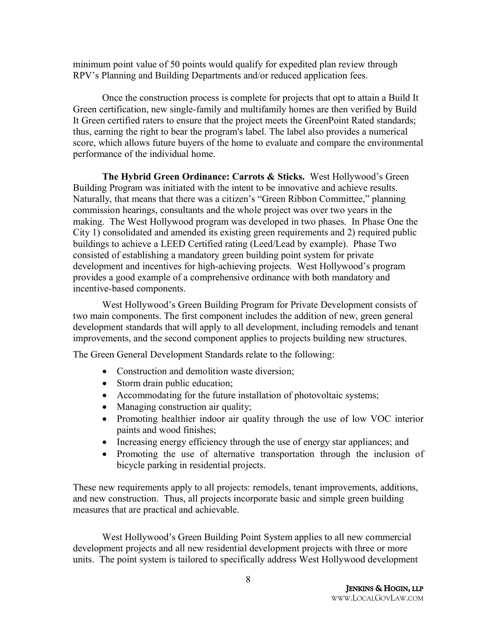minimum point value of 50 points would qualify for expedited plan review through RPV's Planning and Building Departments and/or reduced application fees.

Once the construction process is complete for projects that opt to attain a Build It Green certification, new single-family and multifamily homes are then verified by Build It Green certified raters to ensure that the project meets the GreenPoint Rated standards; thus, earning the right to bear the program's label. The label also provides a numerical score, which allows future buyers of the home to evaluate and compare the environmental performance of the individual home.

**The Hybrid Green Ordinance: Carrots & Sticks.** West Hollywood's Green Building Program was initiated with the intent to be innovative and achieve results. Naturally, that means that there was a citizen's "Green Ribbon Committee," planning commission hearings, consultants and the whole project was over two years in the making. The West Hollywood program was developed in two phases. In Phase One the City 1) consolidated and amended its existing green requirements and 2) required public buildings to achieve a LEED Certified rating (Leed/Lead by example). Phase Two consisted of establishing a mandatory green building point system for private development and incentives for high-achieving projects. West Hollywood's program provides a good example of a comprehensive ordinance with both mandatory and incentive-based components.

West Hollywood's Green Building Program for Private Development consists of two main components. The first component includes the addition of new, green general development standards that will apply to all development, including remodels and tenant improvements, and the second component applies to projects building new structures.

The Green General Development Standards relate to the following:

- Construction and demolition waste diversion;
- Storm drain public education;
- · Accommodating for the future installation of photovoltaic systems;
- Managing construction air quality;
- · Promoting healthier indoor air quality through the use of low VOC interior paints and wood finishes;
- Increasing energy efficiency through the use of energy star appliances; and
- Promoting the use of alternative transportation through the inclusion of bicycle parking in residential projects.

These new requirements apply to all projects: remodels, tenant improvements, additions, and new construction. Thus, all projects incorporate basic and simple green building measures that are practical and achievable.

West Hollywood's Green Building Point System applies to all new commercial development projects and all new residential development projects with three or more units. The point system is tailored to specifically address West Hollywood development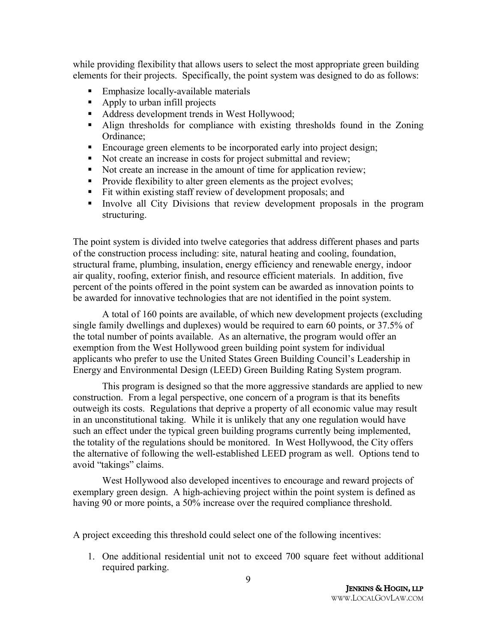while providing flexibility that allows users to select the most appropriate green building elements for their projects. Specifically, the point system was designed to do as follows:

- Emphasize locally-available materials
- Apply to urban infill projects
- Address development trends in West Hollywood;
- § Align thresholds for compliance with existing thresholds found in the Zoning Ordinance;
- Encourage green elements to be incorporated early into project design;
- Not create an increase in costs for project submittal and review;
- Not create an increase in the amount of time for application review;
- Provide flexibility to alter green elements as the project evolves;
- Fit within existing staff review of development proposals; and
- § Involve all City Divisions that review development proposals in the program structuring.

The point system is divided into twelve categories that address different phases and parts of the construction process including: site, natural heating and cooling, foundation, structural frame, plumbing, insulation, energy efficiency and renewable energy, indoor air quality, roofing, exterior finish, and resource efficient materials. In addition, five percent of the points offered in the point system can be awarded as innovation points to be awarded for innovative technologies that are not identified in the point system.

A total of 160 points are available, of which new development projects (excluding single family dwellings and duplexes) would be required to earn 60 points, or 37.5% of the total number of points available. As an alternative, the program would offer an exemption from the West Hollywood green building point system for individual applicants who prefer to use the United States Green Building Council's Leadership in Energy and Environmental Design (LEED) Green Building Rating System program.

This program is designed so that the more aggressive standards are applied to new construction. From a legal perspective, one concern of a program is that its benefits outweigh its costs. Regulations that deprive a property of all economic value may result in an unconstitutional taking. While it is unlikely that any one regulation would have such an effect under the typical green building programs currently being implemented, the totality of the regulations should be monitored. In West Hollywood, the City offers the alternative of following the well-established LEED program as well. Options tend to avoid "takings" claims.

West Hollywood also developed incentives to encourage and reward projects of exemplary green design. A high-achieving project within the point system is defined as having 90 or more points, a 50% increase over the required compliance threshold.

A project exceeding this threshold could select one of the following incentives:

1. One additional residential unit not to exceed 700 square feet without additional required parking.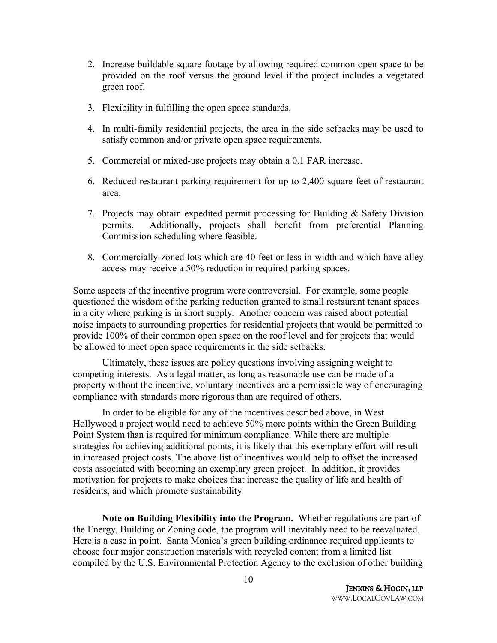- 2. Increase buildable square footage by allowing required common open space to be provided on the roof versus the ground level if the project includes a vegetated green roof.
- 3. Flexibility in fulfilling the open space standards.
- 4. In multi-family residential projects, the area in the side setbacks may be used to satisfy common and/or private open space requirements.
- 5. Commercial or mixed-use projects may obtain a 0.1 FAR increase.
- 6. Reduced restaurant parking requirement for up to 2,400 square feet of restaurant area.
- 7. Projects may obtain expedited permit processing for Building & Safety Division permits. Additionally, projects shall benefit from preferential Planning Commission scheduling where feasible.
- 8. Commercially-zoned lots which are 40 feet or less in width and which have alley access may receive a 50% reduction in required parking spaces.

Some aspects of the incentive program were controversial. For example, some people questioned the wisdom of the parking reduction granted to small restaurant tenant spaces in a city where parking is in short supply. Another concern was raised about potential noise impacts to surrounding properties for residential projects that would be permitted to provide 100% of their common open space on the roof level and for projects that would be allowed to meet open space requirements in the side setbacks.

Ultimately, these issues are policy questions involving assigning weight to competing interests. As a legal matter, as long as reasonable use can be made of a property without the incentive, voluntary incentives are a permissible way of encouraging compliance with standards more rigorous than are required of others.

In order to be eligible for any of the incentives described above, in West Hollywood a project would need to achieve 50% more points within the Green Building Point System than is required for minimum compliance. While there are multiple strategies for achieving additional points, it is likely that this exemplary effort will result in increased project costs. The above list of incentives would help to offset the increased costs associated with becoming an exemplary green project. In addition, it provides motivation for projects to make choices that increase the quality of life and health of residents, and which promote sustainability.

**Note on Building Flexibility into the Program.** Whether regulations are part of the Energy, Building or Zoning code, the program will inevitably need to be reevaluated. Here is a case in point. Santa Monica's green building ordinance required applicants to choose four major construction materials with recycled content from a limited list compiled by the U.S. Environmental Protection Agency to the exclusion of other building